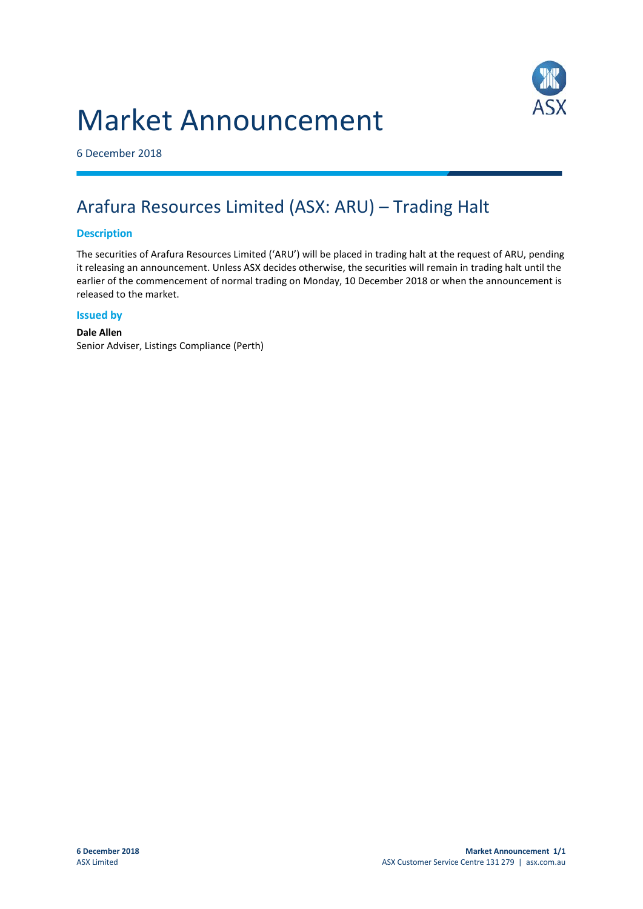# Market Announcement



6 December 2018

## Arafura Resources Limited (ASX: ARU) – Trading Halt

### **Description**

The securities of Arafura Resources Limited ('ARU') will be placed in trading halt at the request of ARU, pending it releasing an announcement. Unless ASX decides otherwise, the securities will remain in trading halt until the earlier of the commencement of normal trading on Monday, 10 December 2018 or when the announcement is released to the market.

#### **Issued by**

### **Dale Allen**

Senior Adviser, Listings Compliance (Perth)